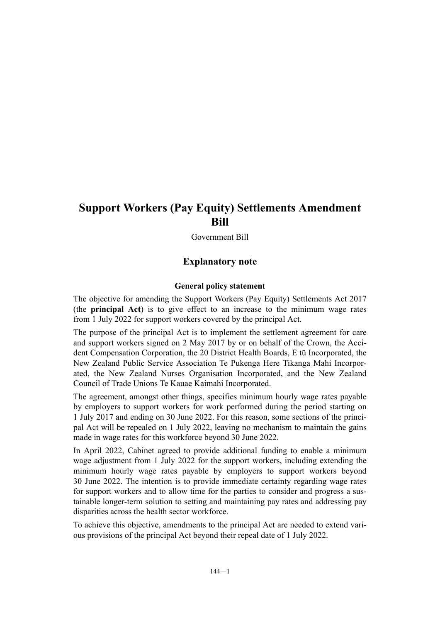# **Support Workers (Pay Equity) Settlements Amendment Bill**

Government Bill

# **Explanatory note**

#### **General policy statement**

The objective for amending the Support Workers (Pay Equity) Settlements Act 2017 (the **principal Act**) is to give effect to an increase to the minimum wage rates from 1 July 2022 for support workers covered by the principal Act.

The purpose of the principal Act is to implement the settlement agreement for care and support workers signed on 2 May 2017 by or on behalf of the Crown, the Accident Compensation Corporation, the 20 District Health Boards, E tū Incorporated, the New Zealand Public Service Association Te Pukenga Here Tikanga Mahi Incorpor‐ ated, the New Zealand Nurses Organisation Incorporated, and the New Zealand Council of Trade Unions Te Kauae Kaimahi Incorporated.

The agreement, amongst other things, specifies minimum hourly wage rates payable by employers to support workers for work performed during the period starting on 1 July 2017 and ending on 30 June 2022. For this reason, some sections of the princi‐ pal Act will be repealed on 1 July 2022, leaving no mechanism to maintain the gains made in wage rates for this workforce beyond 30 June 2022.

In April 2022, Cabinet agreed to provide additional funding to enable a minimum wage adjustment from 1 July 2022 for the support workers, including extending the minimum hourly wage rates payable by employers to support workers beyond 30 June 2022. The intention is to provide immediate certainty regarding wage rates for support workers and to allow time for the parties to consider and progress a sustainable longer-term solution to setting and maintaining pay rates and addressing pay disparities across the health sector workforce.

To achieve this objective, amendments to the principal Act are needed to extend various provisions of the principal Act beyond their repeal date of 1 July 2022.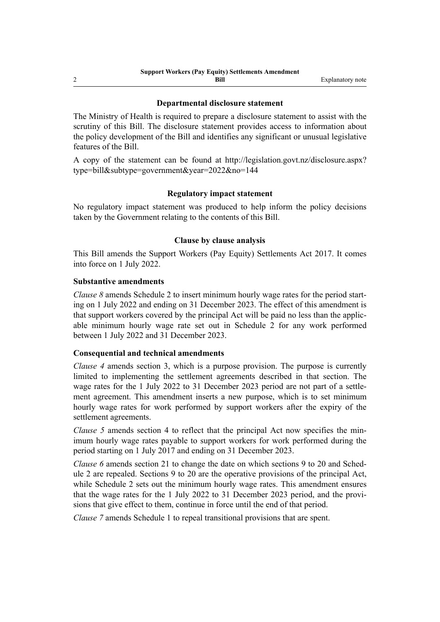#### **Departmental disclosure statement**

The Ministry of Health is required to prepare a disclosure statement to assist with the scrutiny of this Bill. The disclosure statement provides access to information about the policy development of the Bill and identifies any significant or unusual legislative features of the Bill.

A copy of the statement can be found at [http://legislation.govt.nz/disclosure.aspx?](http://legislation.govt.nz/disclosure.aspx?type=bill&subtype=government&year=2022&no=144) [type=bill&subtype=government&year=2022&no=144](http://legislation.govt.nz/disclosure.aspx?type=bill&subtype=government&year=2022&no=144)

## **Regulatory impact statement**

No regulatory impact statement was produced to help inform the policy decisions taken by the Government relating to the contents of this Bill.

## **Clause by clause analysis**

This Bill amends the Support Workers (Pay Equity) Settlements Act 2017. It comes into force on 1 July 2022.

#### **Substantive amendments**

*Clause 8* amends Schedule 2 to insert minimum hourly wage rates for the period starting on 1 July 2022 and ending on 31 December 2023. The effect of this amendment is that support workers covered by the principal Act will be paid no less than the applic‐ able minimum hourly wage rate set out in Schedule 2 for any work performed between 1 July 2022 and 31 December 2023.

#### **Consequential and technical amendments**

*Clause 4* amends section 3, which is a purpose provision. The purpose is currently limited to implementing the settlement agreements described in that section. The wage rates for the 1 July 2022 to 31 December 2023 period are not part of a settlement agreement. This amendment inserts a new purpose, which is to set minimum hourly wage rates for work performed by support workers after the expiry of the settlement agreements.

*Clause 5* amends section 4 to reflect that the principal Act now specifies the minimum hourly wage rates payable to support workers for work performed during the period starting on 1 July 2017 and ending on 31 December 2023.

*Clause 6* amends section 21 to change the date on which sections 9 to 20 and Schedule 2 are repealed. Sections 9 to 20 are the operative provisions of the principal Act, while Schedule 2 sets out the minimum hourly wage rates. This amendment ensures that the wage rates for the 1 July 2022 to 31 December 2023 period, and the provisions that give effect to them, continue in force until the end of that period.

*Clause 7* amends Schedule 1 to repeal transitional provisions that are spent.

2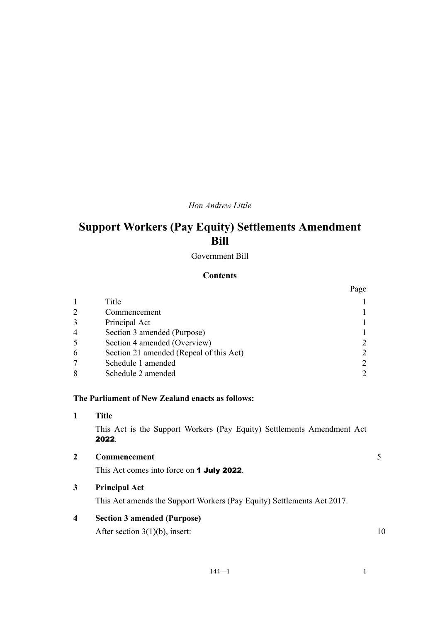# *Hon Andrew Little*

# **Support Workers (Pay Equity) Settlements Amendment Bill**

Government Bill

## **Contents**

|                |                                         | Page |
|----------------|-----------------------------------------|------|
|                | Title                                   |      |
|                | Commencement                            |      |
|                | Principal Act                           |      |
| $\overline{4}$ | Section 3 amended (Purpose)             |      |
|                | Section 4 amended (Overview)            |      |
| 6              | Section 21 amended (Repeal of this Act) |      |
|                | Schedule 1 amended                      |      |
|                | Schedule 2 amended                      |      |

## **The Parliament of New Zealand enacts as follows:**

**1 Title**

This Act is the Support Workers (Pay Equity) Settlements Amendment Act 2022.

| $\overline{2}$ | Commencement |  |
|----------------|--------------|--|
|                |              |  |

This Act comes into force on 1 July 2022.

# **3 Principal Act**

This Act amends the Support Workers (Pay Equity) Settlements Act 2017.

# **4 Section 3 amended (Purpose)**

After section  $3(1)(b)$ , insert: 10